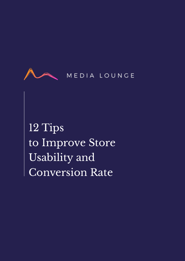

12 Tips to Improve Store Usability and Conversion Rate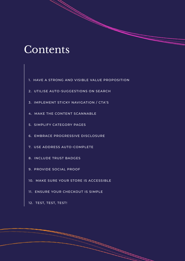# Contents

- [1. HAVE A STRONG AND VISIBLE VALUE PROPOSITION](#page-2-0)
- [2. UTILISE AUTO-SUGGESTIONS ON SEARCH](#page-3-0)
- [3. IMPLEMENT STICKY NAVIGATION / CTA'S](#page-3-0)
- [4. MAKE THE CONTENT SCANNABLE](#page-4-0)
- [5. SIMPLIFY CATEGORY PAGES](#page-5-0)
- [6. EMBRACE PROGRESSIVE DISCLOSURE](#page-6-0)
- [7. USE ADDRESS AUTO-COMPLETE](#page-7-0)
- [8. INCLUDE TRUST BADGES](#page-8-0)
- [9. PROVIDE SOCIAL PROOF](#page-9-0)
- [10. MAKE SURE YOUR STORE IS ACCESSIBLE](#page-10-0)
- [11. ENSURE YOUR CHECKOUT IS SIMPLE](#page-11-0)
- [12. TEST, TEST, TEST!](#page-11-0)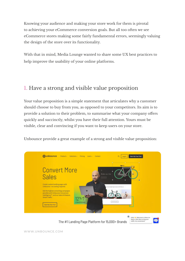<span id="page-2-0"></span>Knowing your audience and making your store work for them is pivotal to achieving your eCommerce conversion goals. But all too often we see eCommerce stores making some fairly fundamental errors, seemingly valuing the design of the store over its functionality.

With that in mind, Media Lounge wanted to share some UX best practices to help improve the usability of your online platforms.

#### 1. Have a strong and visible value proposition

Your value proposition is a simple statement that articulates why a customer should choose to buy from you, as opposed to your competitors. Its aim is to provide a solution to their problem, to summarise what your company offers quickly and succinctly, whilst you have their full attention. Yours must be visible, clear and convincing if you want to keep users on your store.

Unbounce provide a great example of a strong and visible value proposition:



The #1 Landing Page Platform for 15,000+ Brands

WWW.UNBOUNCE.COM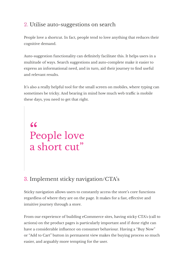#### <span id="page-3-0"></span>2. Utilise auto-suggestions on search

People love a shortcut. In fact, people tend to love anything that reduces their cognitive demand.

Auto-suggestion functionality can definitely facilitate this. It helps users in a multitude of ways. Search suggestions and auto-complete make it easier to express an informational need, and in turn, aid their journey to find useful and relevant results.

It's also a really helpful tool for the small screen on mobiles, where typing can sometimes be tricky. And bearing in mind how much web traffic is mobile these days, you need to get that right.

# <sup>66</sup><br>People love a short cut"

### 3. Implement sticky navigation/CTA's

Sticky navigation allows users to constantly access the store's core functions regardless of where they are on the page. It makes for a fast, effective and intuitive journey through a store.

From our experience of building eCommerce sites, having sticky CTA's (call to actions) on the product pages is particularly important and if done right can have a considerable influence on consumer behaviour. Having a "Buy Now" or "Add to Cart" button in permanent view makes the buying process so much easier, and arguably more tempting for the user.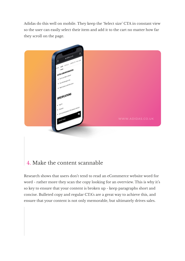<span id="page-4-0"></span>Adidas do this well on mobile. They keep the 'Select size' CTA in constant view so the user can easily select their item and add it to the cart no matter how far they scroll on the page.



#### 4. Make the content scannable

Research shows that users don't tend to read an eCommerce website word for word - rather more they scan the copy looking for an overview. This is why it's so key to ensure that your content is broken up - keep paragraphs short and concise. Bulleted copy and regular CTA's are a great way to achieve this, and ensure that your content is not only memorable, but ultimately drives sales.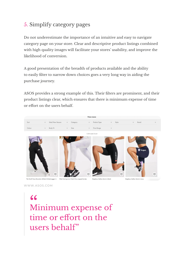### <span id="page-5-0"></span>5. Simplify category pages

Do not underestimate the importance of an intuitive and easy to navigate category page on your store. Clear and descriptive product listings combined with high quality images will facilitate your stores' usability, and improve the likelihood of conversion.

A good presentation of the breadth of products available and the ability to easily filter to narrow down choices goes a very long way in aiding the purchase journey.

ASOS provides a strong example of this. Their filters are prominent, and their product listings clear, which ensures that there is minimum expense of time or effort on the users behalf.



WWW.ASOS.COM

Minimum expense of time or effort on the users behalf" 66<br>M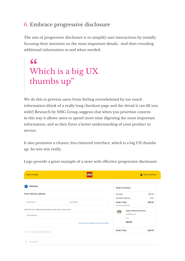#### <span id="page-6-0"></span>6. Embrace progressive disclosure

The aim of progressive disclosure is to simplify user interactions by initially focusing their attention on the most important details. And then revealing additional information as and when needed.

# Which is a big UX thumbs up" "<br>W<br>"

We do this to prevent users from feeling overwhelmed by too much information (think of a really long checkout page and the dread it can fill you with!) Research by NNG Group suggests that when you prioritise content in this way it allows users to spend more time digesting the most important information, and so they form a better understanding of your product or service.

It also promotes a cleaner, less cluttered interface, which is a big UX thumbs up. So win-win really.

| C Back to My Bag                                                                                                             | <b>LEGO</b> | <b>B</b> Secure Checkout               |                                                     |                 |  |
|------------------------------------------------------------------------------------------------------------------------------|-------------|----------------------------------------|-----------------------------------------------------|-----------------|--|
| Delivery                                                                                                                     |             | Order Summary                          |                                                     |                 |  |
| Enter delivery address                                                                                                       |             | Subtotal<br>Standard delivery          |                                                     | \$89.99<br>Free |  |
| First Name                                                                                                                   | Last Name   | Order Total<br>inclusive of £15.00 VAT |                                                     | £89.99          |  |
| Search for your address by entering a street name or post code.<br>Find address<br>Can't see your address? Enter it manually |             | व्हर                                   | Happy Childhood Moments<br>Available now<br>Oby: 11 |                 |  |
|                                                                                                                              |             |                                        | <b>E89.99</b>                                       |                 |  |
| 2 Contact Information                                                                                                        |             | Order Total                            |                                                     | £89.99          |  |
| [3] Payment                                                                                                                  |             |                                        |                                                     |                 |  |

Lego provide a great example of a store with effective progressive disclosure: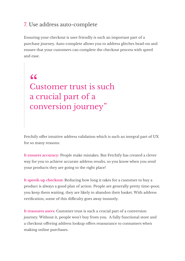#### <span id="page-7-0"></span>7. Use address auto-complete

Ensuring your checkout is user friendly is such an important part of a purchase journey. Auto-complete allows you to address glitches head-on and ensure that your customers can complete the checkout process with speed and ease.

Customer trust is such a crucial part of a conversion journey" **66**<br>Cu

Fetchify offer intuitive address validation which is such an integral part of UX for so many reasons:

**It ensures accuracy:** People make mistakes. But Fetchify has created a clever way for you to achieve accurate address results, so you know when you send your products they are going to the right place!

**It speeds up checkout:** Reducing how long it takes for a customer to buy a product is always a good plan of action. People are generally pretty time-poor, you keep them waiting, they are likely to abandon their basket. With address verification, some of this difficulty goes away instantly.

**It reassures users:** Customer trust is such a crucial part of a conversion journey. Without it, people won't buy from you. A fully functional store and a checkout offering address lookup offers reassurance to consumers when making online purchases.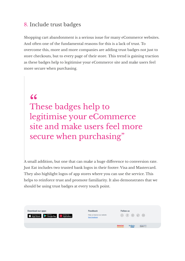#### <span id="page-8-0"></span>8. Include trust badges

Shopping cart abandonment is a serious issue for many eCommerce websites. And often one of the fundamental reasons for this is a lack of trust. To overcome this, more and more companies are adding trust badges not just to store checkouts, but to every page of their store. This trend is gaining traction as these badges help to legitimise your eCommerce site and make users feel more secure when purchasing.

These badges help to legitimise your eCommerce site and make users feel more secure when purchasing" 66<br>Tl<br>-

A small addition, but one that can make a huge difference to conversion rate. Just Eat includes two trusted bank logos in their footer: Visa and Mastercard. They also highlight logos of app stores where you can use the service. This helps to reinforce trust and promote familiarity. It also demonstrates that we should be using trust badges at every touch point.

| Download our apps<br>$\bullet$ App Store $\bullet$ Google Play $\bullet$ App Gallery | Feedback<br>Help us improve our website<br><b>Send leedback</b> | Follow us   | 00000            |         |
|--------------------------------------------------------------------------------------|-----------------------------------------------------------------|-------------|------------------|---------|
|                                                                                      |                                                                 | MasterCard. | angering<br>Wita | SafeKey |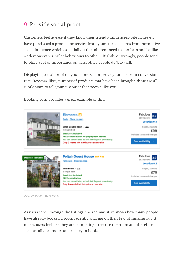#### <span id="page-9-0"></span>9. Provide social proof

Customers feel at ease if they know their friends/influencers/celebrities etc have purchased a product or service from your store. It stems from normative social influence which essentially is the inherent need to conform and be like or demonstrate similar behaviours to others. Rightly or wrongly, people tend to place a lot of importance on what other people do/buy/sell.

Displaying social proof on your store will improve your checkout conversion rate. Reviews, likes, number of products that have been brought, these are all subtle ways to tell your customer that people like you.

Booking.com provides a great example of this.



WWW.BOOKING.COM

As users scroll through the listings, the red narrative shows how many people have already booked a room recently, playing on their fear of missing out. It makes users feel like they are competing to secure the room and therefore successfully promotes an urgency to book.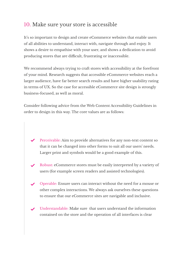#### <span id="page-10-0"></span>10. Make sure your store is accessible

It's so important to design and create eCommerce websites that enable users of all abilities to understand, interact with, navigate through and enjoy. It shows a desire to empathise with your user, and shows a dedication to avoid producing stores that are difficult, frustrating or inaccessible.

We recommend always trying to craft stores with accessibility at the forefront of your mind. Research suggests that accessible eCommerce websites reach a larger audience, have far better search results and have higher usability rating in terms of UX. So the case for accessible eCommerce site design is strongly business-focused, as well as moral.

Consider following advice from the Web Content Accessibility Guidelines in order to design in this way. The core values are as follows:

- $\blacktriangleright$  Perceivable: Aim to provide alternatives for any non-text content so that it can be changed into other forms to suit all our users' needs. Larger print and symbols would be a good example of this.
- Robust: eCommerce stores must be easily interpreted by a variety of users (for example screen readers and assisted technologies).
- Operable: Ensure users can interact without the need for a mouse or other complex interactions. We always ask ourselves these questions to ensure that our eCommerce sites are navigable and inclusive.
- Understandable: Make sure that users understand the information contained on the store and the operation of all interfaces is clear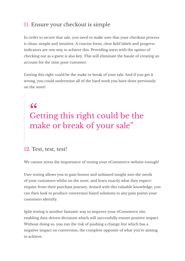#### <span id="page-11-0"></span>11. Ensure your checkout is simple

In order to secure that sale, you need to make sure that your checkout process is clean, simple and intuitive. A concise form, clear field labels and progress indicators are one way to achieve this. Providing users with the option of checking out as a guest is also key. This will eliminate the hassle of creating an account for the time poor customer.

Getting this right could be the make or break of your sale. And if you get it wrong, you could undermine all of the hard work you have done previously on the store!

## Getting this right could be the make or break of your sale" 66<br>Ge

#### 12. Test, test, test!

We cannot stress the importance of testing your eCommerce website enough!

User testing allows you to gain honest and unbiased insight into the needs of your customers whilst on the store, and learn exactly what they expect/ require from their purchase journey. Armed with this valuable knowledge, you can then look to produce conversion based solutions to any pain points your customers identify.

Split testing is another fantastic way to improve your eCommerce site, enabling data-driven decisions which will successfully ensure positive impact. Without doing so, you run the risk of pushing a change live which has a negative impact on conversion; the complete opposite of what you're aiming to achieve.